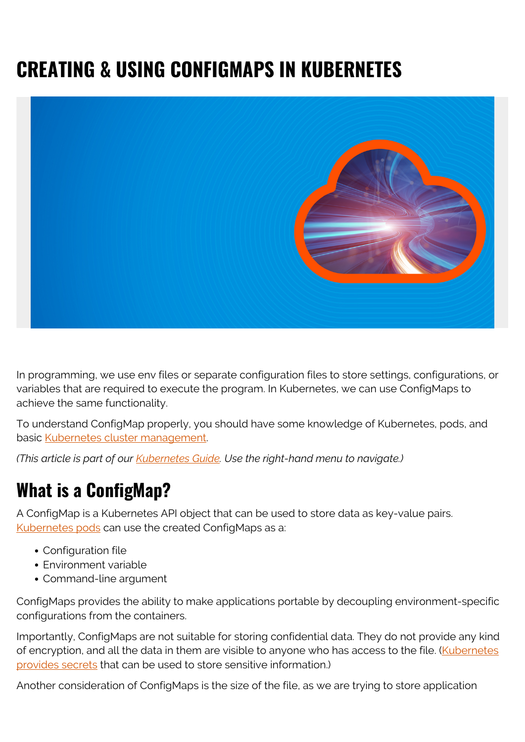# **CREATING & USING CONFIGMAPS IN KUBERNETES**



In programming, we use env files or separate configuration files to store settings, configurations, or variables that are required to execute the program. In Kubernetes, we can use ConfigMaps to achieve the same functionality.

To understand ConfigMap properly, you should have some knowledge of Kubernetes, pods, and basic [Kubernetes cluster management](https://blogs.bmc.com/blogs/kubernetes-best-practices/).

*(This article is part of our [Kubernetes Guide](https://blogs.bmc.com/blogs/what-is-kubernetes/). Use the right-hand menu to navigate.)*

## **What is a ConfigMap?**

A ConfigMap is a Kubernetes API object that can be used to store data as key-value pairs. [Kubernetes pods](https://blogs.bmc.com/blogs/kubernetes-pods/) can use the created ConfigMaps as a:

- Configuration file
- Environment variable
- Command-line argument

ConfigMaps provides the ability to make applications portable by decoupling environment-specific configurations from the containers.

Importantly, ConfigMaps are not suitable for storing confidential data. They do not provide any kind of encryption, and all the data in them are visible to anyone who has access to the file. [\(Kubernetes](https://blogs.bmc.com/blogs/kubernetes-secrets/) [provides secrets](https://blogs.bmc.com/blogs/kubernetes-secrets/) that can be used to store sensitive information.)

Another consideration of ConfigMaps is the size of the file, as we are trying to store application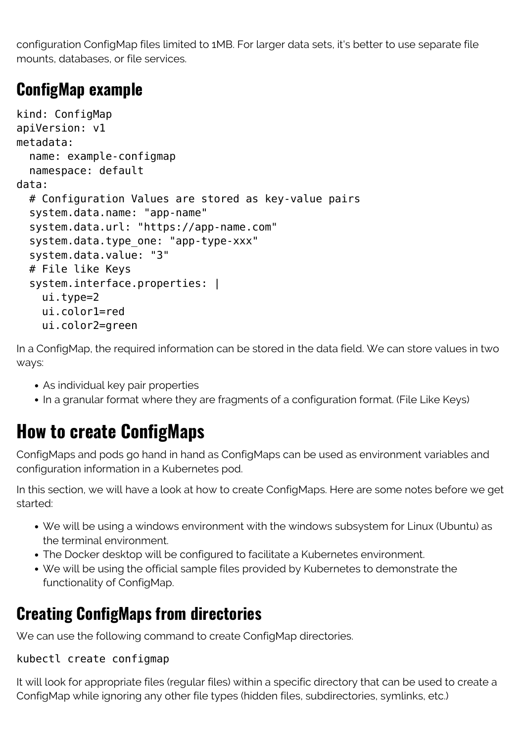configuration ConfigMap files limited to 1MB. For larger data sets, it's better to use separate file mounts, databases, or file services.

#### **ConfigMap example**

```
kind: ConfigMap
apiVersion: v1
metadata:
   name: example-configmap
   namespace: default
data:
   # Configuration Values are stored as key-value pairs
   system.data.name: "app-name"
   system.data.url: "https://app-name.com"
  system.data.type one: "app-type-xxx"
   system.data.value: "3"
   # File like Keys
  system.interface.properties: |
     ui.type=2
     ui.color1=red
     ui.color2=green
```
In a ConfigMap, the required information can be stored in the data field. We can store values in two ways:

- As individual key pair properties
- In a granular format where they are fragments of a configuration format. (File Like Keys)

## **How to create ConfigMaps**

ConfigMaps and pods go hand in hand as ConfigMaps can be used as environment variables and configuration information in a Kubernetes pod.

In this section, we will have a look at how to create ConfigMaps. Here are some notes before we get started:

- We will be using a windows environment with the windows subsystem for Linux (Ubuntu) as the terminal environment.
- The Docker desktop will be configured to facilitate a Kubernetes environment.
- We will be using the official sample files provided by Kubernetes to demonstrate the functionality of ConfigMap.

### **Creating ConfigMaps from directories**

We can use the following command to create ConfigMap directories.

#### kubectl create configmap

It will look for appropriate files (regular files) within a specific directory that can be used to create a ConfigMap while ignoring any other file types (hidden files, subdirectories, symlinks, etc.)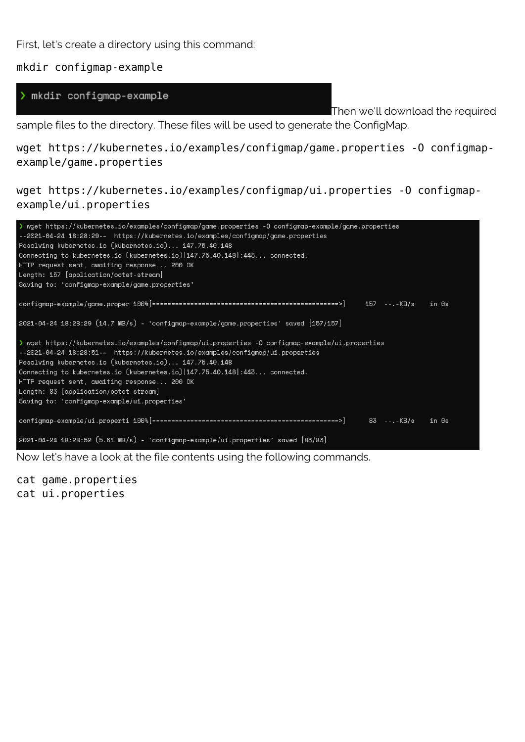First, let's create a directory using this command:

mkdir configmap-example

> mkdir configmap-example

Then we'll download the required

sample files to the directory. These files will be used to generate the ConfigMap.

wget https://kubernetes.io/examples/configmap/game.properties -O configmapexample/game.properties

wget https://kubernetes.io/examples/configmap/ui.properties -O configmapexample/ui.properties

| > wget https://kubernetes.io/examples/configmap/game.properties -0 configmap-example/game.properties |
|------------------------------------------------------------------------------------------------------|
| --2021-04-24 18:28:29-- https://kubernetes.io/examples/configmap/game.properties                     |
| Resolving kubernetes.io (kubernetes.io) 147.75.40.148                                                |
| Connecting to kubernetes.io $(kubernetes.io) 147.75.40.148 :443$ connected.                          |
| HTTP request sent, awaiting response 200 OK                                                          |
| Length: 157 [application/octet-stream]                                                               |
| Saving to: 'configmap-example/game.properties'                                                       |
|                                                                                                      |
| 2021-04-24 18:28:29 (14.7 MB/s) - 'configmap-example/game.properties' saved [157/157]                |
| wget https://kubernetes.io/examples/configmap/ui.properties -0 configmap-example/ui.properties       |
| --2021-04-24 18:28:51-- https://kubernetes.io/examples/configmap/ui.properties                       |
| Resolving kubernetes.io (kubernetes.io) 147.75.40.148                                                |
| Connecting to kubernetes.io $(kubernetes.io) 147.75.40.148 :443$ connected.                          |
| HTTP request sent, awaiting response 200 OK                                                          |
| Length: 83 [application/octet-stream]                                                                |
| Saving to: 'configmap-example/ui.properties'                                                         |
|                                                                                                      |
|                                                                                                      |
| 2021-04-24 18:28:52 (5.61 MB/s) - 'configmap-example/ui.properties' saved [83/83]                    |

Now let's have a look at the file contents using the following commands.

cat game.properties cat ui.properties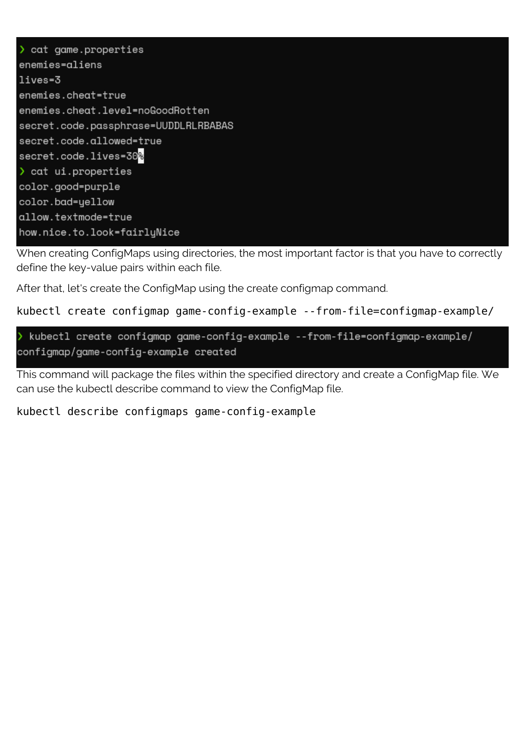> cat game.properties enemies=aliens lives=3 enemies.cheat=true enemies.cheat.level=noGoodRotten secret.code.passphrase=UUDDLRLRBABAS secret.code.allowed=true secret.code.lives=30<mark>%</mark> > cat ui.properties color.good=purple color.bad=yellow allow.textmode=true how.nice.to.look=fairlyNice

When creating ConfigMaps using directories, the most important factor is that you have to correctly define the key-value pairs within each file.

After that, let's create the ConfigMap using the create configmap command.

```
kubectl create configmap game-config-example --from-file=configmap-example/
```

```
kubectl create configmap game-config-example --from-file=configmap-example/
configmap/game-config-example created
```
This command will package the files within the specified directory and create a ConfigMap file. We can use the kubectl describe command to view the ConfigMap file.

#### kubectl describe configmaps game-config-example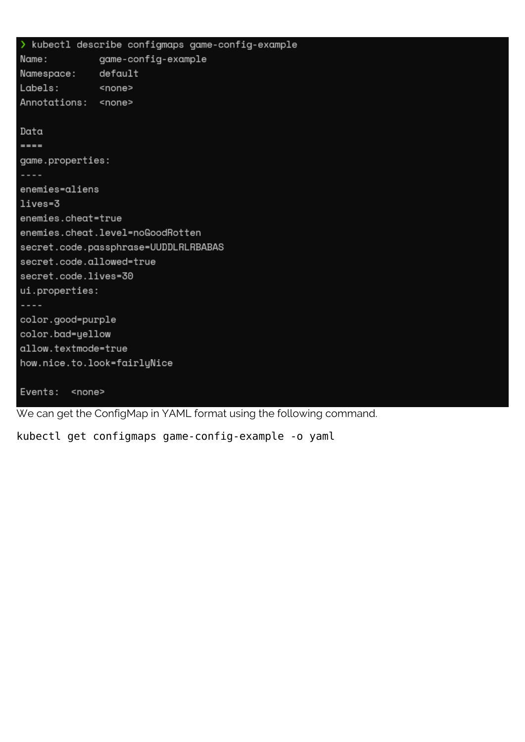> kubectl describe configmaps game-config-example game-config-example Name: Namespace: default Labels: <none> Annotations: <none> Data  $=$ game.properties:  $- - -$ enemies=aliens lives=3 enemies.cheat=true enemies.cheat.level=noGoodRotten secret.code.passphrase=UUDDLRLRBABAS secret.code.allowed=true secret.code.lives=30 ui.properties: color.good=purple color.bad=yellow allow.textmode=true how.nice.to.look=fairlyNice Events: <none>

We can get the ConfigMap in YAML format using the following command.

kubectl get configmaps game-config-example -o yaml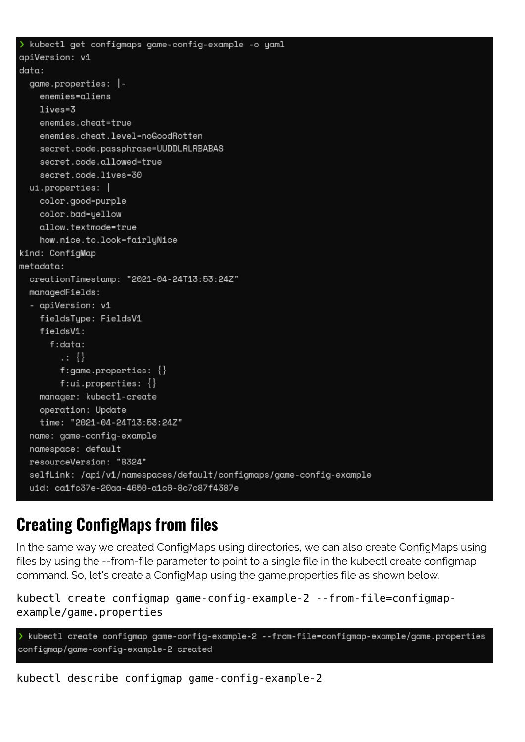```
> kubectl get configmaps game-config-example -o yaml
apiVersion: v1
data:qame.properties:enemies=aliens
    lives = 3enemies.cheat=true
    enemies.cheat.level=noGoodRotten
    secret.code.passphrase=UUDDLRLRBABAS
    secret.code.allowed=true
    secret.code.lives=30
  ui.properties: |
    color.good=purple
    color.bad=yellow
    allow.textmode=true
    how.nice.to.look=fairlyNice
kind: ConfigMap
metadata:creationTimestamp: "2021-04-24T13:53:24Z"
 managedFields:
  - apiVersion: v1
    fieldsType: FieldsV1
    fieldsV1:
      f:data:\{ \}f:game.properties: \{\}f:ui.properties: \{\}manager: kubectl-create
    operation: Update
    time: "2021-04-24T13:53:24Z"
  name: game-config-example
  namespace: default
  resourceVersion: "8324"
  selfLink: /api/v1/namespaces/default/configmaps/game-config-example
  uid: ca1fc37e-20aa-4650-a1c6-8c7c87f4387e
```
#### **Creating ConfigMaps from files**

In the same way we created ConfigMaps using directories, we can also create ConfigMaps using files by using the --from-file parameter to point to a single file in the kubectl create configmap command. So, let's create a ConfigMap using the game.properties file as shown below.

```
kubectl create configmap game-config-example-2 --from-file=configmap-
example/game.properties
```

```
> kubectl create configmap game-config-example-2 --from-file=configmap-example/game.properties
configmap/game-config-example-2 created
```
kubectl describe configmap game-config-example-2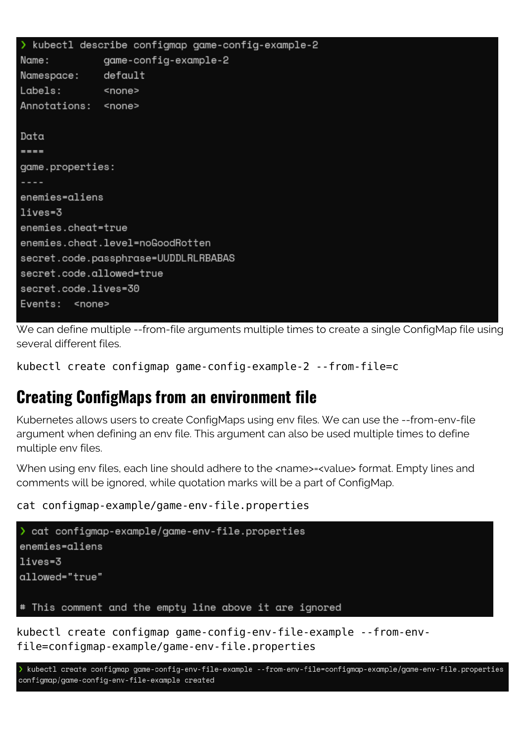```
> kubectl describe configmap game-config-example-2
Name:
              game-config-example-2
Namespace:
              defaultLabels:
              <none>
Annotations:
              <none>
Data
= = =game.properties:
\sim \sim \simenemies=aliens
lives=3
enemies.cheat=true
enemies.cheat.level=noGoodRotten
secret.code.passphrase=UUDDLRLRBABAS
secret.code.allowed=true
secret.code.lives=30
Events: <none>
```
We can define multiple --from-file arguments multiple times to create a single ConfigMap file using several different files.

kubectl create configmap game-config-example-2 --from-file=c

#### **Creating ConfigMaps from an environment file**

Kubernetes allows users to create ConfigMaps using env files. We can use the --from-env-file argument when defining an env file. This argument can also be used multiple times to define multiple env files.

When using env files, each line should adhere to the <name>=<value> format. Empty lines and comments will be ignored, while quotation marks will be a part of ConfigMap.

cat configmap-example/game-env-file.properties

```
> cat configmap-example/game-env-file.properties
enemies=aliens
lives=3
allowed="true"
# This comment and the empty line above it are ignored
```
kubectl create configmap game-config-env-file-example --from-envfile=configmap-example/game-env-file.properties

> kubectl create configmap game-config-env-file-example --from-env-file=configmap-example/game-env-file.properties configmap/game-config-env-file-example created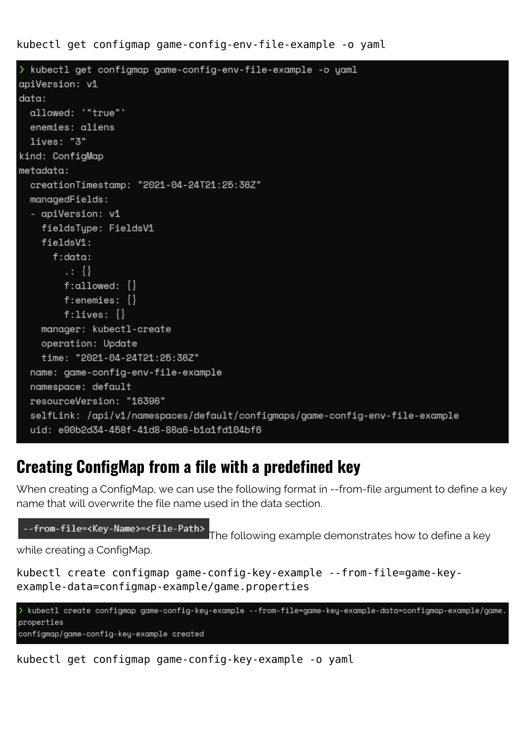kubectl get configmap game-config-env-file-example -o yaml

```
> kubectl get configmap game-config-env-file-example -o yaml
apiVersion: v1
data:allowed: '"true"'
  enemies: aliens
  lives: "3"
kind: ConfigMap
metadata:
  creationTimestamp: "2021-04-24T21:25:36Z"
  managedFields:
  - apiVersion: v1
    fieldsType: FieldsV1
    fieldsV1:
      f:data:\cdot : \ \{\}f:allowed: \{\}f:enemies: \{\}f:1ives:manager: kubectl-create
    operation: Update
    time: "2021-04-24T21:25:36Z"
  name: game-config-env-file-example
  namespace: default
  resourceVersion: "16396"
  selfLink: /api/v1/namespaces/default/configmaps/game-config-env-file-example
  uid: e90b2d34-458f-41d8-86a6-b1a1fd104bf6
```
#### **Creating ConfigMap from a file with a predefined key**

When creating a ConfigMap, we can use the following format in --from-file argument to define a key name that will overwrite the file name used in the data section.

```
--from-file=<Key-Name>=<File-Path>
```
The following example demonstrates how to define a key

while creating a ConfigMap.

```
kubectl create configmap game-config-key-example --from-file=game-key-
example-data=configmap-example/game.properties
```

```
> kubectl create configmap game-config-key-example --from-file=game-key-example-data=configmap-example/game.
properties
configmap/game-config-key-example created
```
kubectl get configmap game-config-key-example -o yaml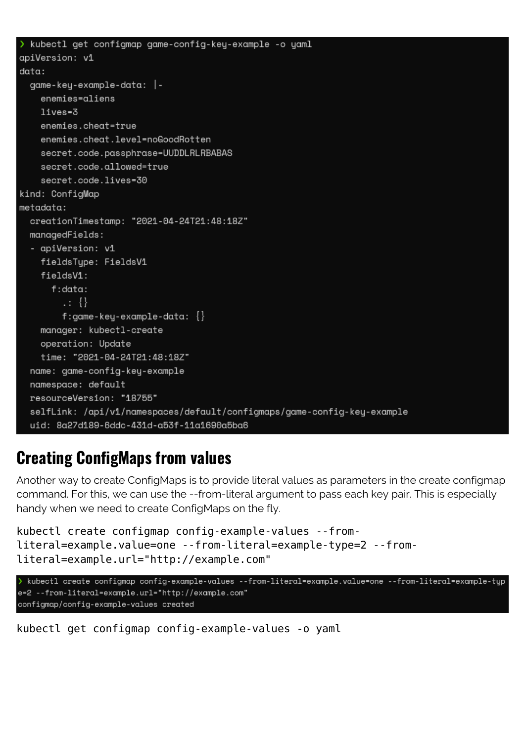```
kubectl get configmap game-config-key-example -o yaml
apiVersion: v1
data:qame-key-example-data: |-
    enemies=aliens
    lives=3
    enemies.cheat=true
    enemies.cheat.level=noGoodRotten
    secret.code.passphrase=UUDDLRLRBABAS
    secret.code.allowed=true
    secret.code.lives=30
kind: ConfigMap
metadata:
  creationTimestamp: "2021-04-24T21:48:18Z"
  managedFields:
  - apiVersion: v1
    fieldsType: FieldsV1
    fieldsV1:
      f:data:\cdot : \}f:game-key-example-data: \{\}manager: kubectl-create
    operation: Update
    time: "2021-04-24T21:48:18Z"
  name: game-config-key-example
  namespace: default
  resourceVersion: "18755"
  selfLink: /api/v1/namespaces/default/configmaps/game-config-key-example
  uid: 8a27d189-6ddc-431d-a53f-11a1690a5ba6
```
#### **Creating ConfigMaps from values**

Another way to create ConfigMaps is to provide literal values as parameters in the create configmap command. For this, we can use the --from-literal argument to pass each key pair. This is especially handy when we need to create ConfigMaps on the fly.

```
kubectl create configmap config-example-values --from-
literal=example.value=one --from-literal=example-type=2 --from-
literal=example.url="http://example.com"
```

```
> kubectl create configmap config-example-values --from-literal=example.value=one --from-literal=example-tup
e=2 --from-literal=example.url="http://example.com"
configmap/config-example-values created
```
kubectl get configmap config-example-values -o yaml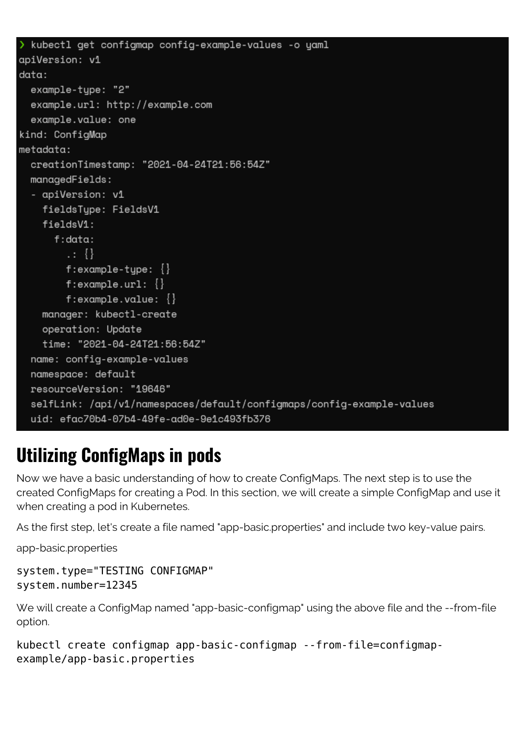```
> kubectl get configmap config-example-values -o yaml
apiVersion: v1
data:example-type: "2"
  example.url: http://example.com
  example.value: one
kind: ConfigMap
metadata:
  creationTimestamp: "2021-04-24T21:56:54Z"
 managedFields:
  - apiVersion: v1
    fieldsTupe: FieldsV1
    fieldsV1:
      f:data:\cdot : \}f:example-type: \{\}f:example.url: \{\}f:example.value: \{\}manager: kubectl-create
    operation: Update
    time: "2021-04-24T21:56:54Z"
  name: config-example-values
  namespace: default
  resourceVersion: "19646"
  selfLink: /api/v1/namespaces/default/configmaps/config-example-values
  uid: efac70b4-07b4-49fe-ad0e-9e1c493fb376
```
## **Utilizing ConfigMaps in pods**

Now we have a basic understanding of how to create ConfigMaps. The next step is to use the created ConfigMaps for creating a Pod. In this section, we will create a simple ConfigMap and use it when creating a pod in Kubernetes.

As the first step, let's create a file named "app-basic.properties" and include two key-value pairs.

app-basic.properties

```
system.type="TESTING CONFIGMAP"
system.number=12345
```
We will create a ConfigMap named "app-basic-configmap" using the above file and the --from-file option.

```
kubectl create configmap app-basic-configmap --from-file=configmap-
example/app-basic.properties
```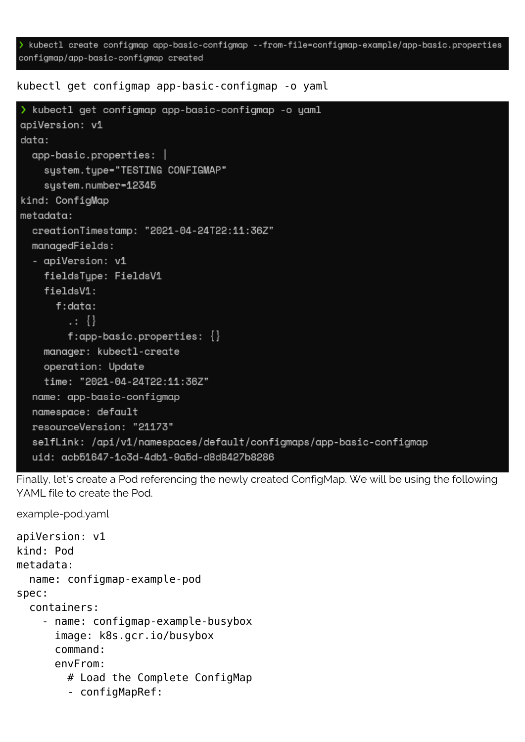kubectl create configmap app-basic-configmap --from-file=configmap-example/app-basic.properties configmap/app-basic-configmap created

kubectl get configmap app-basic-configmap -o yaml

```
> kubectl get configmap app-basic-configmap -o yaml
apiVersion: v1
data:app-basic.properties: |
    system.type="TESTING CONFIGMAP"
    system.number=12345
kind: ConfigMap
metadata:
  creationTimestamp: "2021-04-24T22:11:36Z"
 managedFields:
  - apiVersion: v1
    fieldsTupe: FieldsV1
    fieldsV1:
      f:data:\cdot: \ \{\}f:app-basic.properties: \{\}manager: kubectl-create
    operation: Update
    time: "2021-04-24T22:11:36Z"
  name: app-basic-configmap
  namespace: default
  resourceVersion: "21173"
  selfLink: /api/v1/namespaces/default/configmaps/app-basic-configmap
  uid: acb51647-1c3d-4db1-9a5d-d8d8427b8286
```
Finally, let's create a Pod referencing the newly created ConfigMap. We will be using the following YAML file to create the Pod.

apiVersion: v1 kind: Pod metadata: name: configmap-example-pod spec: containers: - name: configmap-example-busybox image: k8s.gcr.io/busybox command: envFrom: # Load the Complete ConfigMap - configMapRef:

example-pod.yaml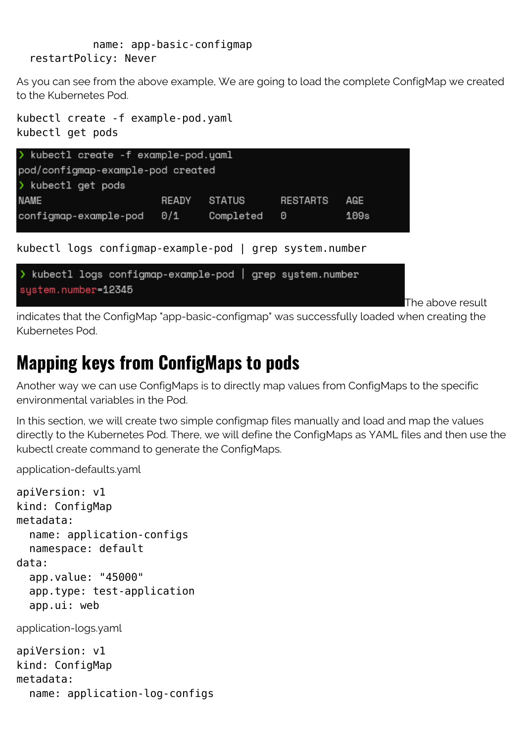name: app-basic-configmap restartPolicy: Never

As you can see from the above example, We are going to load the complete ConfigMap we created to the Kubernetes Pod.

```
kubectl create -f example-pod.yaml
kubectl get pods
```


The above result

indicates that the ConfigMap "app-basic-configmap" was successfully loaded when creating the Kubernetes Pod.

### **Mapping keys from ConfigMaps to pods**

Another way we can use ConfigMaps is to directly map values from ConfigMaps to the specific environmental variables in the Pod.

In this section, we will create two simple configmap files manually and load and map the values directly to the Kubernetes Pod. There, we will define the ConfigMaps as YAML files and then use the kubectl create command to generate the ConfigMaps.

application-defaults.yaml

```
apiVersion: v1
kind: ConfigMap
metadata:
   name: application-configs
   namespace: default
data:
   app.value: "45000"
   app.type: test-application
   app.ui: web
application-logs.yaml
apiVersion: v1
kind: ConfigMap
metadata:
   name: application-log-configs
```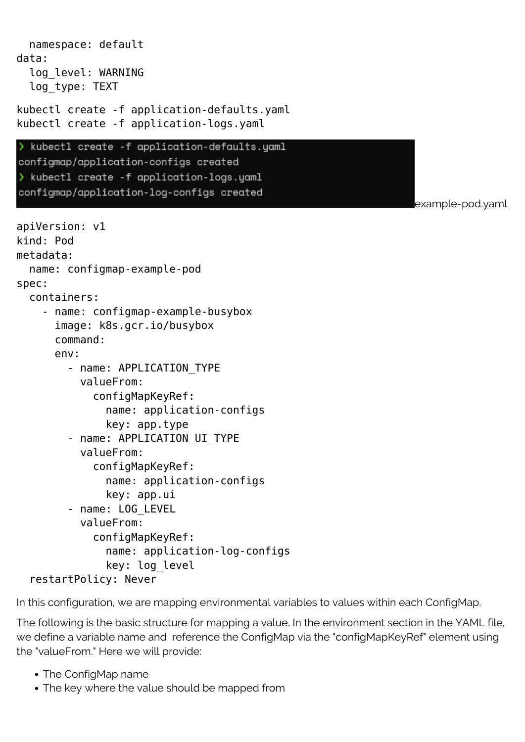```
 namespace: default
data:
   log_level: WARNING
   log_type: TEXT
kubectl create -f application-defaults.yaml
kubectl create -f application-logs.yaml
  kubectl create -f application-defaults.yaml
configmap/application-configs created
> kubectl create -f application-logs.yaml
configmap/application-log-configs created
                                                                   example-pod.yaml
apiVersion: v1
kind: Pod
metadata:
   name: configmap-example-pod
spec:
   containers:
     - name: configmap-example-busybox
       image: k8s.gcr.io/busybox
       command:
       env:
         - name: APPLICATION_TYPE
           valueFrom:
              configMapKeyRef:
                name: application-configs
                key: app.type
        - name: APPLICATION UI TYPE
           valueFrom:
              configMapKeyRef:
                name: application-configs
                key: app.ui
         - name: LOG_LEVEL
           valueFrom:
              configMapKeyRef:
                name: application-log-configs
                key: log_level
   restartPolicy: Never
```
In this configuration, we are mapping environmental variables to values within each ConfigMap.

The following is the basic structure for mapping a value. In the environment section in the YAML file, we define a variable name and reference the ConfigMap via the "configMapKeyRef" element using the "valueFrom." Here we will provide:

- The ConfigMap name
- The key where the value should be mapped from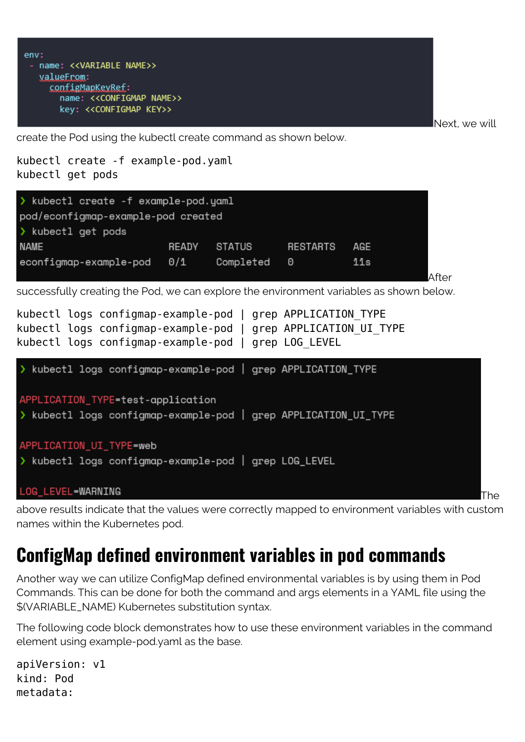```
env:
 - name: <<VARIABLE NAME>>
   valueFrom:
     configMapKevRef:
       name: << CONFIGMAP NAME>>
       key: << CONFIGMAP KEY>>
```
Next, we will

create the Pod using the kubectl create command as shown below.

```
kubectl create -f example-pod.yaml
kubectl get pods
```


successfully creating the Pod, we can explore the environment variables as shown below.



above results indicate that the values were correctly mapped to environment variables with custom names within the Kubernetes pod.

### **ConfigMap defined environment variables in pod commands**

Another way we can utilize ConfigMap defined environmental variables is by using them in Pod Commands. This can be done for both the command and args elements in a YAML file using the \$(VARIABLE\_NAME) Kubernetes substitution syntax.

The following code block demonstrates how to use these environment variables in the command element using example-pod.yaml as the base.

apiVersion: v1 kind: Pod metadata: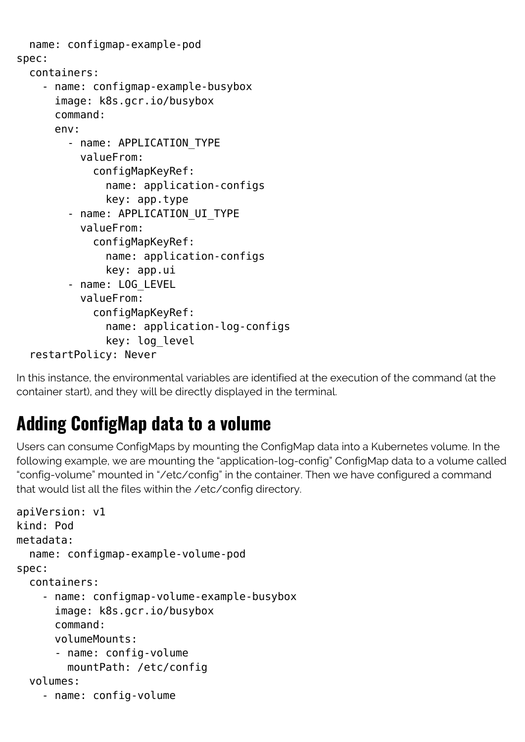```
 name: configmap-example-pod
spec:
   containers:
     - name: configmap-example-busybox
       image: k8s.gcr.io/busybox
       command:
       env:
          - name: APPLICATION_TYPE
           valueFrom:
              configMapKeyRef:
                name: application-configs
                key: app.type
         - name: APPLICATION UI TYPE
            valueFrom:
              configMapKeyRef:
                name: application-configs
                key: app.ui
          - name: LOG_LEVEL
           valueFrom:
              configMapKeyRef:
                name: application-log-configs
                key: log_level
   restartPolicy: Never
```
In this instance, the environmental variables are identified at the execution of the command (at the container start), and they will be directly displayed in the terminal.

## **Adding ConfigMap data to a volume**

Users can consume ConfigMaps by mounting the ConfigMap data into a Kubernetes volume. In the following example, we are mounting the "application-log-config" ConfigMap data to a volume called "config-volume" mounted in "/etc/config" in the container. Then we have configured a command that would list all the files within the /etc/config directory.

```
apiVersion: v1
kind: Pod
metadata:
   name: configmap-example-volume-pod
spec:
   containers:
     - name: configmap-volume-example-busybox
       image: k8s.gcr.io/busybox
       command:
       volumeMounts:
       - name: config-volume
         mountPath: /etc/config
   volumes:
     - name: config-volume
```